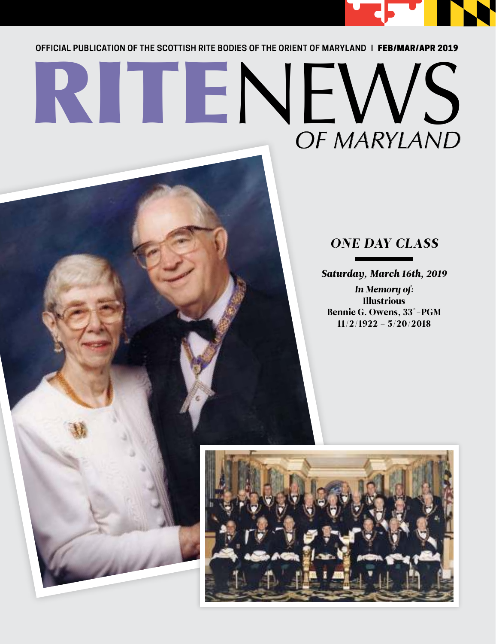

**OFFICIAL PUBLICATION OF THE SCOTTISH RITE BODIES OF THE ORIENT OF MARYLAND |** FEB/MAR/APR 2019

# RITENEWS *OF MARYLAND*

### *ONE DAY CLASS*

*Saturday, March 16th, 2019*

*In Memory of:*  Illustrious Bennie G. Owens, 33°-PGM 11/2/1922 – 5/20/2018

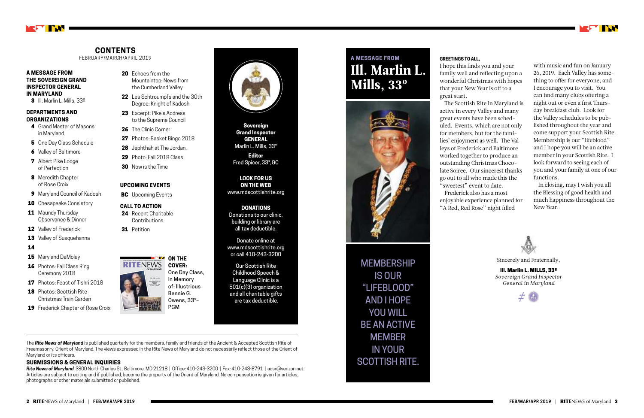#### **GREETINGS TO ALL,**

I hope this finds you and your family well and reflecting upon a wonderful Christmas with hopes that your New Year is off to a great start.

The Scottish Rite in Maryland is active in every Valley and many great events have been scheduled. Events, which are not only for members, but for the families' enjoyment as well. The Valleys of Frederick and Baltimore worked together to produce an outstanding Christmas Chocolate Soiree. Our sincerest thanks go out to all who made this the "sweetest" event to date. Frederick also has a most enjoyable experience planned for "A Red, Red Rose" night filled

#### **A MESSAGE FROM THE SOVEREIGN GRAND INSPECTOR GENERAL IN MARYLAND**

3 III. Marlin L. Mills, 33º

#### **DEPARTMENTS AND ORGANIZATIONS**

- 4 Grand Master of Masons in Maryland
- 5 One Day Class Schedule
- **6** Valley of Baltimore
- **7** Albert Pike Lodge of Perfection
- 8 Meredith Chapter of Rose Croix
- 9 Maryland Council of Kadosh
- **10** Chesapeake Consistory
- 11 Maundy Thursday Observance & Dinner
- 12 Valley of Frederick
- 13 Valley of Susquehanna

#### 14

- 15 Maryland DeMolay
- 16 Photos: Fall Class Ring Ceremony 2018
- 17 Photos: Feast of Tishri 2018
- 18 Photos: Scottish Rite Christmas Train Garden
- 19 Frederick Chapter of Rose Croix
- 20 Fchoes from the Mountaintop: News from the Cumberland Valley
- 22 Les Schtroumpfs and the 30th Degree: Knight of Kadosh
- 23 Excerpt: Pike's Address to the Supreme Council
- 26 The Clinic Corner
- 27 Photos: Basket Bingo 2018
- 28 Jephthah at The Jordan.
- 29 Photo: Fall 2018 Class
- **30** Now is the Time



The *Rite News of Maryland* is published quarterly for the members, family and friends of the Ancient & Accepted Scottish Rite of Freemasonry, Orient of Maryland. The views expressed in the Rite News of Maryland do not necessarily reflect those of the Orient of Maryland or its officers.

#### **SUBMISSIONS & GENERAL INQUIRIES**

*Rite News of Maryland* 3800 North Charles St., Baltimore, MD 21218 | Office: 410-243-3200 | Fax: 410-243-8791 | aasr@verizon.net. Articles are subject to editing and if published, become the property of the Orient of Maryland. No compensation is given for articles, photographs or other materials submitted or published.

#### **UPCOMING EVENTS**

**BC** Upcoming Events

#### **CALL TO ACTION**

- 24 Recent Charitable Contributions
- **31** Petition



#### **CONTENTS**

FEBRUARY/MARCH/APRIL 2019

**Sovereign Grand Inspector GENERAL** Marlin L. Mills, 33°

**Editor** Fred Spicer, 33°, GC

#### **LOOK FOR US ON THE WEB** www.mdscottishrite.org

**DONATIONS** Donations to our clinic, building or library are all tax deductible.

Donate online at www.mdscottishrite.org or call 410-243-3200

Our Scottish Rite Childhood Speech & Language Clinic is a 501(c)(3) organization and all charitable gifts are tax deductible.

# **ON THE COVER:**

One Day Class, In Memory of: Illustrious



Bennie G. Owens, 33°– PGM



with music and fun on January 26, 2019. Each Valley has something to offer for everyone, and I encourage you to visit. You can find many clubs offering a night out or even a first Thursday breakfast club. Look for the Valley schedules to be published throughout the year and come support your Scottish Rite. Membership is our "lifeblood" and I hope you will be an active member in your Scottish Rite. I look forward to seeing each of you and your family at one of our functions.

In closing, may I wish you all the Blessing of good health and much happiness throughout the New Year.



## MEMBERSHIP IS OUR "LIFEBLOOD" AND I HOPE YOU WILL BE AN ACTIVE MEMBER IN YOUR SCOTTISH RITE.

## **A MESSAGE FROM** Ill. Marlin L. Mills, 33º



Sincerely and Fraternally,

Ill. Marlin L. MILLS, 33º *Sovereign Grand Inspector General in Maryland*

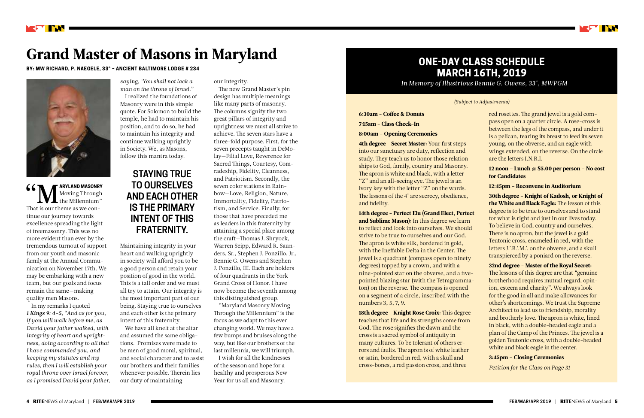**66 MARYLAND MASONRY MOVE THE MOVE THAT AND MASONRY**<br>That is our theme as we con-**ARYLAND MASONRY** Moving Through the Millennium" tinue our journey towards excellence spreading the light of freemasonry. This was no more evident than ever by the tremendous turnout of support from our youth and masonic family at the Annual Communication on November 17th. We may be embarking with a new team, but our goals and focus remain the same—making quality men Masons.

In my remarks I quoted *1 Kings 9: 4–5,* "*And as for you, if you will walk before me, as David your father walked, with integrity of heart and uprightness, doing according to all that I have commanded you, and keeping my statutes and my rules, then I will establish your royal throne over Israel forever, as I promised David your father,* 



# Grand Master of Masons in Maryland

#### **BY: MW RICHARD, P. NAEGELE, 33° – ANCIENT BALTIMORE LODGE # 234**



*saying, 'You shall not lack a man on the throne of Israel."* I realized the foundations of Masonry were in this simple quote. For Solomon to build the temple, he had to maintain his position, and to do so, he had to maintain his integrity and continue walking uprightly in Society. We, as Masons, follow this mantra today.

Maintaining integrity in your heart and walking uprightly in society will afford you to be a good person and retain your position of good in the world. This is a tall order and we must all try to attain. Our integrity is the most important part of our being. Staying true to ourselves and each other is the primary intent of this fraternity.

We have all knelt at the altar and assumed the same obligations. Promises were made to be men of good moral, spiritual, and social character and to assist our brothers and their families whenever possible. Therein lies our duty of maintaining

4th degree - Secret Master: Your first steps into our sanctuary are duty, reflection and study. They teach us to honor those relationships to God, family, country and Masonry. The apron is white and black, with a letter "Z" and an all-seeing eye. The jewel is an ivory key with the letter "Z" on the wards. The lessons of the 4° are secrecy, obedience, and fidelity.

our integrity.

The new Grand Master's pin design has multiple meanings like many parts of masonry. The columns signify the two great pillars of integrity and uprightness we must all strive to achieve. The seven stars have a three-fold purpose. First, for the seven precepts taught in DeMolay—Filial Love, Reverence for Sacred Things, Courtesy, Comradeship, Fidelity, Cleanness, and Patriotism. Secondly, the seven color stations in Rainbow—Love, Religion, Nature, Immortality, Fidelity, Patriotism, and Service. Finally, for those that have preceded me as leaders in this fraternity by attaining a special place among the craft—Thomas J. Shryock, Warren Seipp, Edward R. Saunders, Sr., Stephen J. Ponzillo, Jr., Bennie G. Owens and Stephen J. Ponzillo, III. Each are holders of four quadrants in the York Grand Cross of Honor. I have now become the seventh among this distinguished group.

"Maryland Masonry Moving Through the Millennium" is the focus as we adapt to this ever changing world. We may have a few bumps and bruises along the way, but like our brothers of the last millennia, we will triumph.

I wish for all the kindnesses of the season and hope for a healthy and prosperous New Year for us all and Masonry.

## **STAYING TRUE TO OURSELVES AND EACH OTHER IS THE PRIMARY INTENT OF THIS FRATERNITY.**

## **ONE-DAY CLASS SCHEDULE MARCH 16TH, 2019**

*In Memory of Illustrious Bennie G. Owens, 33°, MWPGM*

6:30am - Coffee & Donuts 7:15am - Class Check-In 8:00am – Opening Ceremonies

14th degree - Perfect Elu (Grand Elect, Perfect and Sublime Mason): In this degree we learn to reflect and look into ourselves. We should strive to be true to ourselves and our God. The apron is white silk, bordered in gold, with the Ineffable Delta in the Center. The jewel is a quadrant (compass open to ninety degrees) topped by a crown, and with a nine-pointed star on the obverse, and a fivepointed blazing star (with the Tetragrammaton) on the reverse. The compass is opened on a segment of a circle, inscribed with the numbers 3, 5, 7, 9.

18th degree - Knight Rose Croix: This degree teaches that life and its strengths come from God. The rose signifies the dawn and the cross is a sacred symbol of antiquity in many cultures. To be tolerant of others errors and faults. The apron is of white leather or satin, bordered in red, with a skull and cross-bones, a red passion cross, and three



red rosettes. The grand jewel is a gold compass open on a quarter circle. A rose-cross is between the legs of the compass, and under it is a pelican, tearing its breast to feed its seven young, on the obverse, and an eagle with wings extended, on the reverse. On the circle are the letters I.N.R.I.

12 noon – Lunch @ \$5.00 per person – No cost for Candidates

#### 12:45pm – Reconvene in Auditorium

30th degree - Knight of Kadosh, or Knight of the White and Black Eagle: The lesson of this degree is to be true to ourselves and to stand for what is right and just in our lives today. To believe in God, country and ourselves. There is no apron, but the jewel is a gold Teutonic cross, enameled in red, with the letters J.'.B.'.M.'. on the obverse, and a skull transpierced by a poniard on the reverse.

32nd degree - Master of the Royal Secret: The lessons of this degree are that "genuine brotherhood requires mutual regard, opinion, esteem and charity". We always look for the good in all and make allowances for other's shortcomings. We trust the Supreme Architect to lead us to friendship, morality and brotherly love. The apron is white, lined in black, with a double-headed eagle and a plan of the Camp of the Princes. The jewel is a golden Teutonic cross, with a double-headed white and black eagle in the center.

#### 3:45pm – Closing Ceremonies

*Petition for the Class on Page 31*

#### *(Subject to Adjustments)*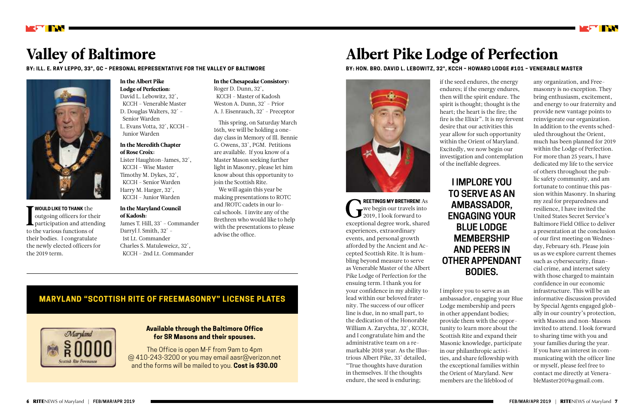Greent **REETINGS MY BRETHREN!** As we begin our travels into 2019, I look forward to exceptional degree work, shared experiences, extraordinary events, and personal growth afforded by the Ancient and Accepted Scottish Rite. It is humbling beyond measure to serve as Venerable Master of the Albert Pike Lodge of Perfection for the ensuing term. I thank you for your confidence in my ability to lead within our beloved fraternity. The success of our officer line is due, in no small part, to the dedication of the Honorable William A. Zarychta, 32°, KCCH, and I congratulate him and the administrative team on a remarkable 2018 year. As the Illustrious Albert Pike, 33° detailed, "True thoughts have duration in themselves. If the thoughts endure, the seed is enduring;

I **WOULD LIKE TO THANK** the outgoing officers for their participation and attending to the various functions of their bodies. I congratulate the newly elected officers for the 2019 term.

# Albert Pike Lodge of Perfection

**BY: HON. BRO. DAVID L. LEBOWITZ, 32°, KCCH – HOWARD LODGE #101 – VENERABLE MASTER**





# Valley of Baltimore

**BY: ILL. E. RAY LEPPO, 33°, GC – PERSONAL REPRESENTATIVE FOR THE VALLEY OF BALTIMORE**



if the seed endures, the energy endures; if the energy endures, then will the spirit endure. The spirit is thought; thought is the heart; the heart is the fire; the fire is the Elixir". It is my fervent desire that our activities this year allow for such opportunity within the Orient of Maryland. Excitedly, we now begin our investigation and contemplation of the ineffable degrees.

I implore you to serve as an ambassador, engaging your Blue Lodge membership and peers in other appendant bodies; provide them with the opportunity to learn more about the Scottish Rite and expand their Masonic knowledge, participate in our philanthropic activities, and share fellowship with the exceptional families within the Orient of Maryland. New members are the lifeblood of



any organization, and Freemasonry is no exception. They bring enthusiasm, excitement, and energy to our fraternity and provide new vantage points to reinvigorate our organization. In addition to the events scheduled throughout the Orient, much has been planned for 2019 within the Lodge of Perfection. For more than 25 years, I have dedicated my life to the service of others throughout the public safety community, and am fortunate to continue this passion within Masonry. In sharing my zeal for preparedness and resilience, I have invited the United States Secret Service's Baltimore Field Office to deliver a presentation at the conclusion of our first meeting on Wednesday, February 6th. Please join us as we explore current themes such as cybersecurity, financial crime, and internet safety with those charged to maintain confidence in our economic infrastructure. This will be an informative discussion provided by Special Agents engaged globally in our country's protection, with Masons and non-Masons invited to attend. I look forward to sharing time with you and your families during the year. If you have an interest in communicating with the officer line or myself, please feel free to contact me directly at VenerableMaster2019@gmail.com.

#### In the Albert Pike Lodge of Perfection:

David L. Lebowitz, 32°, KCCH - Venerable Master D. Douglas Walters, 32° - Senior Warden L. Evans Votta, 32°, KCCH – Junior Warden

#### In the Meredith Chapter of Rose Croix:

Lister Haughton-James, 32°, KCCH - Wise Master Timothy M. Dykes, 32°, KCCH - Senior Warden Harry M. Harger, 32°, KCCH - Junior Warden

#### In the Maryland Council of Kadosh: James T. Hill, 33° - Commander Darryl J. Smith, 32° -

 1st Lt. Commander Charles S. Matuleweicz, 32°, KCCH - 2nd Lt. Commander In the Chesapeake Consistory: Roger D. Dunn, 32°,

 KCCH - Master of Kadosh Weston A. Dunn, 32° - Prior A. J. Eisenrauch, 32° - Preceptor

This spring, on Saturday March 16th, we will be holding a oneday class in Memory of Ill. Bennie G. Owens, 33°, PGM. Petitions are available. If you know of a Master Mason seeking further light in Masonry, please let him know about this opportunity to join the Scottish Rite.

We will again this year be making presentations to ROTC and JROTC cadets in our local schools. I invite any of the Brethren who would like to help with the presentations to please advise the office.

#### **MARYLAND "SCOTTISH RITE OF FREEMASONRY" LICENSE PLATES**



#### **Available through the Baltimore Office for SR Masons and their spouses.**

The Office is open M-F from 9am to 4pm @ 410-243-3200 or you may email aasr@verizon.net and the forms will be mailed to you. **Cost is \$30.00**

## **I IMPLORE YOU TO SERVE AS AN AMBASSADOR, ENGAGING YOUR BLUE LODGE MEMBERSHIP AND PEERS IN OTHER APPENDANT BODIES.**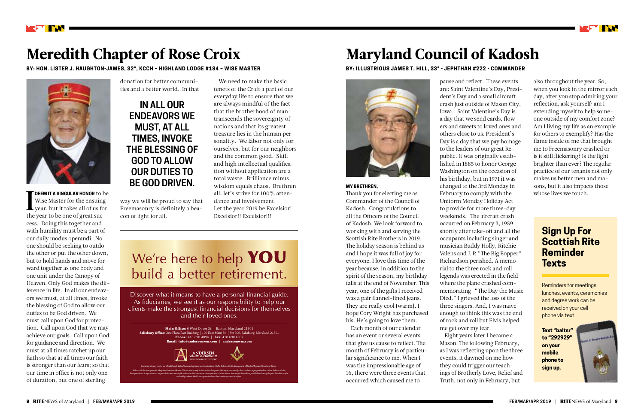**I DEEM IT A SINGULAR HONOR** to be Wise Master for the ensuing year, but it takes all of us for the year to be one of great suc-Wise Master for the ensuing year, but it takes all of us for the year to be one of great success. Doing this together and with humility must be a part of our daily modus operandi. No one should be seeking to outdo the other or put the other down, but to hold hands and move forward together as one body and one unit under the Canopy of Heaven. Only God makes the difference in life. In all our endeavors we must, at all times, invoke the blessing of God to allow our duties to be God driven. We must call upon God for protection. Call upon God that we may achieve our goals. Call upon God for guidance and direction. We must at all times ratchet up our faith so that at all times our faith is stronger than our fears; so that our time in office is not only one of duration, but one of sterling

#### **MY BRETHREN,**

Thank you for electing me as Commander of the Council of Kadosh. Congratulations to all the Officers of the Council of Kadosh. We look forward to working with and serving the Scottish Rite Brothers in 2019. The holiday season is behind us and I hope it was full of joy for everyone. I love this time of the year because, in addition to the spirit of the season, my birthday falls at the end of November. This year, one of the gifts I received was a pair flannel-lined jeans. They are really cool (warm). I hope Cory Wright has purchased his. He's going to love them.

Each month of our calendar has an event or several events that give us cause to reflect. The month of February is of particular significance to me. When I was the impressionable age of 16, there were three events that occurred which caused me to



# Meredith Chapter of Rose Croix

**BY: HON. LISTER J. HAUGHTON-JAMES, 32°, KCCH – HIGHLAND LODGE #184 – WISE MASTER**



# Maryland Council of Kadosh

**BY: ILLUSTRIOUS JAMES T. HILL, 33° - JEPHTHAH #222 - COMMANDER**



donation for better communities and a better world. In that

way we will be proud to say that Freemasonry is definitely a beacon of light for all.

pause and reflect. These events are: Saint Valentine's Day, President's Day and a small aircraft crash just outside of Mason City, Iowa. Saint Valentine's Day is a day that we send cards, flowers and sweets to loved ones and others close to us. President's Day is a day that we pay homage to the leaders of our great Republic. It was originally established in 1885 to honor George Washington on the occasion of his birthday, but in 1971 it was changed to the 3rd Monday in February to comply with the Uniform Monday Holiday Act to provide for more three-day weekends. The aircraft crash occurred on February 3, 1959 shortly after take-off and all the occupants including singer and musician Buddy Holly, Ritchie Valens and J. P. "The Big Bopper" Richardson perished. A memorial to the three rock and roll legends was erected in the field where the plane crashed commemorating "The Day the Music Died." I grieved the loss of the three singers. And, I was naive enough to think this was the end of rock and roll but Elvis helped me get over my fear. Eight years later I became a Mason. The following February,

events, it dawned on me how they could trigger our teach-



as I was reflecting upon the three ings of Brotherly Love, Relief and Truth, not only in February, but

We need to make the basic tenets of the Craft a part of our everyday life to ensure that we are always mindful of the fact that the brotherhood of man transcends the sovereignty of nations and that its greatest treasure lies in the human personality. We labor not only for ourselves, but for our neighbors and the common good. Skill and high intellectual qualification without application are a total waste. Brilliance minus wisdom equals chaos. Brethren all: let's strive for 100% attendance and involvement. Let the year 2019 be Excelsior! Excelsior!! Excelsior!!!

# We're here to help YOU build a better retirement.

also throughout the year. So, when you look in the mirror each day, after you stop admiring your reflection, ask yourself: am I extending myself to help someone outside of my comfort zone? Am I living my life as an example for others to exemplify? Has the flame inside of me that brought me to Freemasonry crashed or is it still flickering? Is the light brighter than ever? The regular practice of our tenants not only makes us better men and masons, but it also impacts those whose lives we touch.

Discover what it means to have a personal financial guide. As fiduciaries, we see it as our responsibility to help our clients make the strongest financial decisions for themselves and their loved ones.



## **Sign Up For Scottish Rite Reminder Texts**

Reminders for meetings, lunches, events, ceremonies and degree work can be received on your cell phone via text.

**Text "baltsr" to "292929" on your mobile phone to sign up.**



**IN ALL OUR ENDEAVORS WE MUST, AT ALL TIMES, INVOKE THE BLESSING OF GOD TO ALLOW OUR DUTIES TO BE GOD DRIVEN.**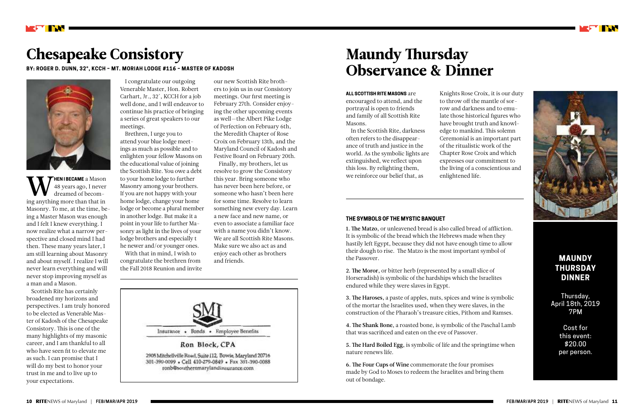**WENTHECAME** a Mason<br>dreamed of becom-<br>ing anything more than that in **HEN I BECAME** a Mason 48 years ago, I never dreamed of becom-Masonry. To me, at the time, being a Master Mason was enough and I felt I knew everything. I now realize what a narrow perspective and closed mind I had then. These many years later, I am still learning about Masonry and about myself. I realize I will never learn everything and will never stop improving myself as a man and a Mason.

Scottish Rite has certainly broadened my horizons and perspectives. I am truly honored to be elected as Venerable Master of Kadosh of the Chesapeake Consistory. This is one of the many highlights of my masonic career, and I am thankful to all who have seen fit to elevate me as such. I can promise that I will do my best to honor your trust in me and to live up to your expectations.

# Chesapeake Consistory

**BY: ROGER D. DUNN, 32°, KCCH – MT. MORIAH LODGE #116 – MASTER OF KADOSH**



I congratulate our outgoing Venerable Master, Hon. Robert Carhart, Jr., 32°, KCCH for a job well done, and I will endeavor to continue his practice of bringing a series of great speakers to our meetings.

Brethren, I urge you to attend your blue lodge meetings as much as possible and to enlighten your fellow Masons on the educational value of joining the Scottish Rite. You owe a debt to your home lodge to further Masonry among your brothers. If you are not happy with your home lodge, change your home lodge or become a plural member in another lodge. But make it a point in your life to further Masonry as light in the lives of your lodge brothers and especially t he newer and/or younger ones.

With that in mind, I wish to congratulate the brethren from the Fall 2018 Reunion and invite our new Scottish Rite brothers to join us in our Consistory meetings. Our first meeting is February 27th. Consider enjoying the other upcoming events as well—the Albert Pike Lodge of Perfection on February 6th, the Meredith Chapter of Rose Croix on February 13th, and the Maryland Council of Kadosh and Festive Board on February 20th.

Finally, my brothers, let us resolve to grow the Consistory this year. Bring someone who has never been here before, or someone who hasn't been here for some time. Resolve to learn something new every day. Learn a new face and new name, or even to associate a familiar face with a name you didn't know. We are all Scottish Rite Masons. Make sure we also act as and enjoy each other as brothers and friends.



# Maundy Thursday Observance & Dinner

**ALL SCOTTISH RITE MASONS** are

encouraged to attend, and the portrayal is open to friends and family of all Scottish Rite Masons.

In the Scottish Rite, darkness often refers to the disappearance of truth and justice in the world. As the symbolic lights are extinguished, we reflect upon this loss. By relighting them, we reinforce our belief that, as

Knights Rose Croix, it is our duty to throw off the mantle of sorrow and darkness and to emulate those historical figures who have brought truth and knowledge to mankind. This solemn Ceremonial is an important part of the ritualistic work of the Chapter Rose Croix and which expresses our commitment to the living of a conscientious and enlightened life.

#### **THE SYMBOLS OF THE MYSTIC BANQUET**

1. The Matzo, or unleavened bread is also called bread of affliction. It is symbolic of the bread which the Hebrews made when they hastily left Egypt, because they did not have enough time to allow their dough to rise. The Matzo is the most important symbol of the Passover.

2. The Moror, or bitter herb (represented by a small slice of Horseradish) is symbolic of the hardships which the Israelites endured while they were slaves in Egypt.

3. The Haroses, a paste of apples, nuts, spices and wine is symbolic of the mortar the Israelites used, when they were slaves, in the construction of the Pharaoh's treasure cities, Pithom and Ramses.

4. The Shank Bone, a roasted bone, is symbolic of the Paschal Lamb that was sacrificed and eaten on the eve of Passover.

5. The Hard Boiled Egg, is symbolic of life and the springtime when nature renews life.

6. The Four Cups of Wine commemorate the four promises made by God to Moses to redeem the Israelites and bring them out of bondage.





#### **MAUNDY THURSDAY DINNER**

Thursday, April 18th, 2019 7PM

> Cost for this event: \$20.00 per person.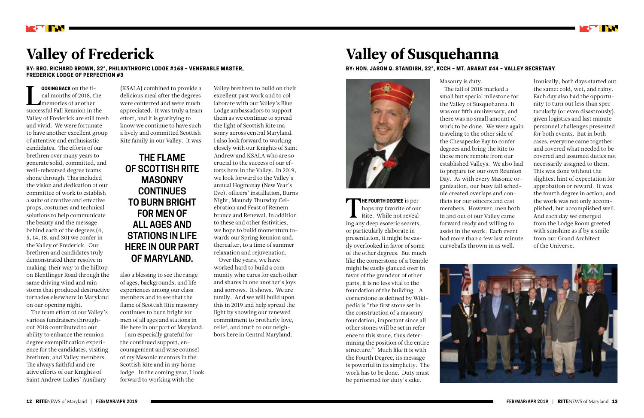L<br>succes **OOKING BACK** on the final months of 2018, the memories of another successful Fall Reunion in the Valley of Frederick are still fresh and vivid. We were fortunate to have another excellent group of attentive and enthusiastic candidates. The efforts of our brethren over many years to generate solid, committed, and well-rehearsed degree teams shone through. This included the vision and dedication of our committee of work to establish a suite of creative and effective props, costumes and technical solutions to help communicate the beauty and the message behind each of the degrees (4, 5, 14, 18, and 30) we confer in the Valley of Frederick. Our brethren and candidates truly demonstrated their resolve in making their way to the hilltop on Blentlinger Road through the same driving wind and rainstorm that produced destructive tornados elsewhere in Maryland on our opening night.

The team effort of our Valley's various fundraisers throughout 2018 contributed to our ability to enhance the reunion degree exemplification experience for the candidates, visiting brethren, and Valley members. The always faithful and creative efforts of our Knights of Saint Andrew Ladies' Auxiliary



# Valley of Frederick

**BY: BRO. RICHARD BROWN, 32°, PHILANTHROPIC LODGE #168 – VENERABLE MASTER, FREDERICK LODGE OF PERFECTION #3**

> (KSALA) combined to provide a delicious meal after the degrees were conferred and were much appreciated. It was truly a team effort, and it is gratifying to know we continue to have such a lively and committed Scottish Rite family in our Valley. It was

> also a blessing to see the range of ages, backgrounds, and life experiences among our class members and to see that the flame of Scottish Rite masonry continues to burn bright for men of all ages and stations in life here in our part of Maryland.

THE FOURTH DEGREE is perhaps my favorite of our<br>Rite. While not reveal-<br>ing any deep esoteric secrets, **HE FOURTH DEGREE** is perhaps my favorite of our Rite. While not revealor particularly elaborate in presentation, it might be easily overlooked in favor of some of the other degrees. But much like the cornerstone of a Temple might be easily glanced over in favor of the grandeur of other parts, it is no less vital to the foundation of the building. A cornerstone as defined by Wikipedia is "the first stone set in the construction of a masonry foundation, important since all other stones will be set in reference to this stone, thus determining the position of the entire structure." Much like it is with the Fourth Degree, its message is powerful in its simplicity. The work has to be done. Duty must be performed for duty's sake.

I am especially grateful for the continued support, encouragement and wise counsel of my Masonic mentors in the Scottish Rite and in my home lodge. In the coming year, I look forward to working with the

Valley brethren to build on their excellent past work and to collaborate with our Valley's Blue Lodge ambassadors to support them as we continue to spread the light of Scottish Rite masonry across central Maryland. I also look forward to working closely with our Knights of Saint Andrew and KSALA who are so crucial to the success of our efforts here in the Valley. In 2019, we look forward to the Valley's annual Hogmanay (New Year's Eve), officers' installation, Burns Night, Maundy Thursday Celebration and Feast of Remembrance and Renewal. In addition to these and other festivities, we hope to build momentum towards our Spring Reunion and, thereafter, to a time of summer relaxation and rejuvenation. Over the years, we have

worked hard to build a community who cares for each other and shares in one another's joys and sorrows. It shows. We are family. And we will build upon this in 2019 and help spread the light by showing our renewed commitment to brotherly love, relief, and truth to our neighbors here in Central Maryland.

# Valley of Susquehanna

**BY: HON. JASON Q. STANDISH, 32°, KCCH – MT. ARARAT #44 – VALLEY SECRETARY**



Masonry is duty. The fall of 2018 marked a small but special milestone for the Valley of Susquehanna. It was our fifth anniversary, and there was no small amount of work to be done. We were again traveling to the other side of the Chesapeake Bay to confer degrees and bring the Rite to those more remote from our established Valleys. We also had to prepare for our own Reunion Day. As with every Masonic organization, our busy fall schedule created overlaps and conflicts for our officers and cast members. However, men both in and out of our Valley came forward ready and willing to assist in the work. Each event had more than a few last minute curveballs thrown in as well.



Ironically, both days started out the same: cold, wet, and rainy. Each day also had the opportunity to turn out less than spectacularly (or even disastrously), given logistics and last minute personnel challenges presented for both events. But in both cases, everyone came together and covered what needed to be covered and assumed duties not necessarily assigned to them. This was done without the slightest hint of expectation for approbation or reward. It was the fourth degree in action, and the work was not only accomplished, but accomplished well. And each day we emerged from the Lodge Room greeted with sunshine as if by a smile from our Grand Architect of the Universe.



**THE FLAME OF SCOTTISH RITE MASONRY CONTINUES TO BURN BRIGHT FOR MEN OF ALL AGES AND STATIONS IN LIFE HERE IN OUR PART OF MARYLAND.**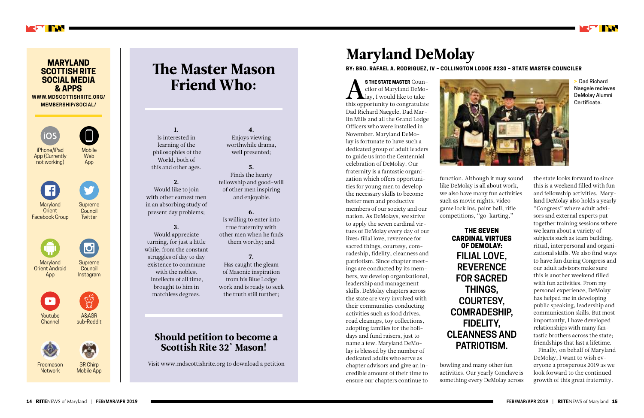STHE STATE MASTER Coun-<br>cilor of Maryland DeMo-<br>lay, I would like to take<br>this opportunity to congratulate **S THE STATE MASTER** Councilor of Maryland DeMo-**L**lay, I would like to take Dad Richard Naegele, Dad Marlin Mills and all the Grand Lodge Officers who were installed in November. Maryland DeMolay is fortunate to have such a dedicated group of adult leaders to guide us into the Centennial celebration of DeMolay. Our fraternity is a fantastic organization which offers opportunities for young men to develop the necessary skills to become better men and productive members of our society and our nation. As DeMolays, we strive to apply the seven cardinal virtues of DeMolay every day of our lives: filial love, reverence for sacred things, courtesy, comradeship, fidelity, cleanness and patriotism. Since chapter meetings are conducted by its members, we develop organizational, leadership and management skills. DeMolay chapters across the state are very involved with their communities conducting activities such as food drives, road cleanups, toy collections, adopting families for the holidays and fund raisers, just to name a few. Maryland DeMolay is blessed by the number of dedicated adults who serve as chapter advisors and give an incredible amount of their time to ensure our chapters continue to



# Maryland DeMolay

**BY: BRO. RAFAEL A. RODRIGUEZ, IV – COLLINGTON LODGE #230 – STATE MASTER COUNCILER** 

function. Although it may sound like DeMolay is all about work, we also have many fun activities such as movie nights, videogame lock ins, paint ball, rifle competitions, "go-karting,"

bowling and many other fun activities. Our yearly Conclave is something every DeMolay across

Freemason **Network** 

Youtube **Channel** 





**Mobile Web** App

> the state looks forward to since this is a weekend filled with fun and fellowship activities. Maryland DeMolay also holds a yearly "Congress" where adult advisors and external experts put together training sessions where we learn about a variety of subjects such as team building, ritual, interpersonal and organizational skills. We also find ways to have fun during Congress and our adult advisors make sure this is another weekend filled with fun activities. From my personal experience, DeMolay has helped me in developing public speaking, leadership and communication skills. But most importantly, I have developed relationships with many fantastic brothers across the state; friendships that last a lifetime.

Finally, on behalf of Maryland DeMolay, I want to wish everyone a prosperous 2019 as we look forward to the continued growth of this great fraternity.

# The Master Mason Friend Who:

## Should petition to become a Scottish Rite 32° Mason!

Visit www.mdscottishrite.org to download a petition

1. Is interested in learning of the philosophies of the World, both of this and other ages.

#### 2. Would like to join with other earnest men in an absorbing study of present day problems;

#### 3. Would appreciate

turning, for just a little while, from the constant struggles of day to day existence to commune with the noblest intellects of all time, brought to him in matchless degrees.

#### 4. Enjoys viewing worthwhile drama, well presented;

5. Finds the hearty fellowship and good-will of other men inspiring

and enjoyable.

#### 6.

Is willing to enter into true fraternity with other men when he finds them worthy; and

#### 7.

Has caught the gleam of Masonic inspiration from his Blue Lodge work and is ready to seek the truth still further;

# **FILIAL LOVE,**

THE SEVEN CARDINAL VIRTUES OF DEMOLAY: **REVERENCE FOR SACRED THINGS, COURTESY, COMRADESHIP, FIDELITY, CLEANNESS AND PATRIOTISM.**

> Dad Richard Naegele recieves DeMolay Alumni Certificate.

#### **MARYLAND SCOTTISH RITE SOCIAL MEDIA & APPS**

**WWW.MDSCOTTISHRITE.ORG/ MEMBERSHIP/SOCIAL/**



SR Chirp Mobile App







A&ASR sub-Reddit

 $\bigoplus_{i=1}^{n}$ 

Supreme **Council** Instagram

 $\overline{C}$ 



Maryland Orient Android App





iPhone/iPad App (Currently not working)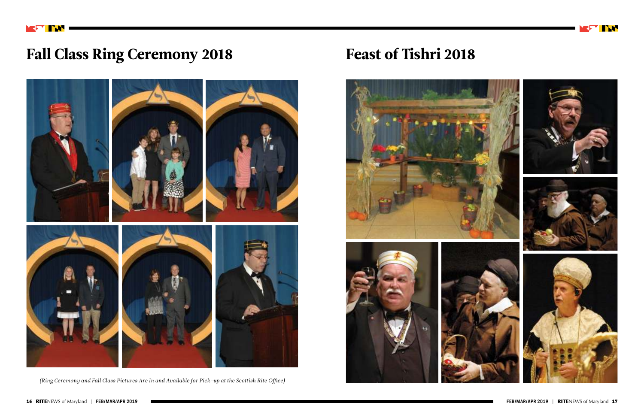

# Fall Class Ring Ceremony 2018 Feast of Tishri 2018



*(Ring Ceremony and Fall Class Pictures Are In and Available for Pick-up at the Scottish Rite Office)*









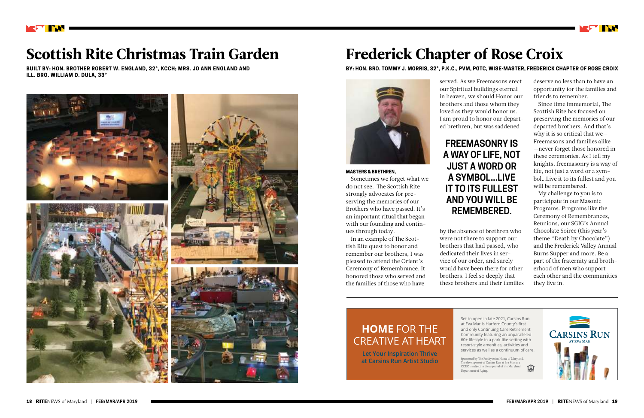

# Scottish Rite Christmas Train Garden

**BUILT BY: HON. BROTHER ROBERT W. ENGLAND, 32°, KCCH; MRS. JO ANN ENGLAND AND ILL. BRO. WILLIAM D. DULA, 33°**



**MASTERS & BRETHREN,**

Sometimes we forget what we do not see. The Scottish Rite strongly advocates for preserving the memories of our Brothers who have passed. It's an important ritual that began with our founding and contin-

ues through today.

In an example of The Scottish Rite quest to honor and remember our brothers, I was pleased to attend the Orient's Ceremony of Remembrance. It honored those who served and the families of those who have

# Frederick Chapter of Rose Croix



#### **BY: HON. BRO. TOMMY J. MORRIS, 32°, P.K.C., PVM, PGTC, WISE-MASTER, FREDERICK CHAPTER OF ROSE CROIX**

served. As we Freemasons erect our Spiritual buildings eternal in heaven, we should Honor our brothers and those whom they loved as they would honor us. I am proud to honor our departed brethren, but was saddened

by the absence of brethren who were not there to support our brothers that had passed, who dedicated their lives in service of our order, and surely would have been there for other brothers. I feel so deeply that these brothers and their families deserve no less than to have an opportunity for the families and friends to remember.

Since time immemorial, The Scottish Rite has focused on preserving the memories of our departed brothers. And that's why it is so critical that we— Freemasons and families alike —never forget those honored in these ceremonies. As I tell my knights, freemasonry is a way of life, not just a word or a symbol…Live it to its fullest and you will be remembered.

My challenge to you is to participate in our Masonic Programs. Programs like the Ceremony of Remembrances, Reunions, our SGIG's Annual Chocolate Soirée (this year's theme "Death by Chocolate") and the Frederick Valley Annual Burns Supper and more. Be a part of the fraternity and brotherhood of men who support each other and the communities they live in.





Set to open in late 2021, Carsins Run at Eva Mar is Harford County's first and only Continuing Care Retirement Community featuring an unparalleled 60+ lifestyle in a park-like setting with resort-style amenities, activities and services as well as a continuum of care.

Sponsored by The Presbyterian Home of Maryland. The development of Carsins Run at Eva Mar as a CCRC is subject to the approval of the Maryland Department of Aging.



## **HOME** FOR THE CREATIVE AT HEART

**Let Your Inspiration Thrive at Carsins Run Artist Studio**

## **FREEMASONRY IS A WAY OF LIFE, NOT JUST A WORD OR A SYMBOL...LIVE IT TO ITS FULLEST AND YOU WILL BE REMEMBERED.**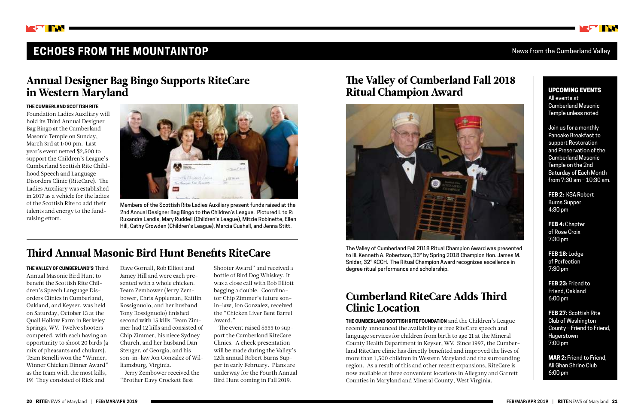

## **ECHOES FROM THE MOUNTAINTOP** News from the Cumberland Valley

#### **THE CUMBERLAND SCOTTISH RITE**

Foundation Ladies Auxiliary will hold its Third Annual Designer Bag Bingo at the Cumberland Masonic Temple on Sunday, March 3rd at 1:00 pm. Last year's event netted \$2,500 to support the Children's League's Cumberland Scottish Rite Childhood Speech and Language Disorders Clinic (RiteCare). The Ladies Auxiliary was established in 2017 as a vehicle for the ladies of the Scottish Rite to add their talents and energy to the fundraising effort.



**THE VALLEY OF CUMBERLAND'S** Third Annual Masonic Bird Hunt to benefit the Scottish Rite Children's Speech Language Disorders Clinics in Cumberland, Oakland, and Keyser, was held on Saturday, October 13 at the Quail Hollow Farm in Berkeley Springs, WV. Twelve shooters competed, with each having an opportunity to shoot 20 birds (a mix of pheasants and chukars). Team Benelli won the "Winner, Winner Chicken Dinner Award" as the team with the most kills, 19! They consisted of Rick and



The Valley of Cumberland Fall 2018 Ritual Champion Award was presented to Ill. Kenneth A. Robertson, 33° by Spring 2018 Champion Hon. James M. Snider, 32° KCCH. The Ritual Champion Award recognizes excellence in degree ritual performance and scholarship.

Members of the Scottish Rite Ladies Auxiliary present funds raised at the 2nd Annual Designer Bag Bingo to the Children's League. Pictured L to R: Ruxandra Landis, Mary Ruddell (Children's League), Mitzie Robinette, Ellen Hill, Cathy Growden (Children's League), Marcia Cushall, and Jenna Stitt.

> **THE CUMBERLAND SCOTTISH RITE FOUNDATION** and the Children's League recently announced the availability of free RiteCare speech and language services for children from birth to age 21 at the Mineral County Health Department in Keyser, WV. Since 1997, the Cumberland RiteCare clinic has directly benefited and improved the lives of more than 1,500 children in Western Maryland and the surrounding region. As a result of this and other recent expansions, RiteCare is now available at three convenient locations in Allegany and Garrett Counties in Maryland and Mineral County, West Virginia.



## Annual Designer Bag Bingo Supports RiteCare in Western Maryland

## Third Annual Masonic Bird Hunt Benefits RiteCare

## The Valley of Cumberland Fall 2018 Ritual Champion Award

## Cumberland RiteCare Adds Third Clinic Location

#### UPCOMING EVENTS

All events at Cumberland Masonic Temple unless noted

Join us for a monthly Pancake Breakfast to support Restoration and Preservation of the Cumberland Masonic Temple on the 2nd Saturday of Each Month from 7:30 am – 10:30 am.

**FEB 2:** KSA Robert Burns Supper 4:30 pm

**FEB 4:** Chapter of Rose Croix 7:30 pm

**FEB 18:** Lodge of Perfection 7:30 pm

**FEB 23:** Friend to Friend, Oakland 6:00 pm

**FEB 27:** Scottish Rite Club of Washington County – Friend to Friend, Hagerstown 7:00 pm

**MAR 2:** Friend to Friend, Ali Ghan Shrine Club 6:00 pm

Dave Gornall, Rob Elliott and Jamey Hill and were each presented with a whole chicken. Team Zembower (Jerry Zembower, Chris Appleman, Kaitlin Rossignuolo, and her husband Tony Rossignuolo) finished second with 15 kills. Team Zimmer had 12 kills and consisted of Chip Zimmer, his niece Sydney Church, and her husband Dan Stenger, of Georgia, and his son-in-law Jon Gonzalez of Williamsburg, Virginia.

Jerry Zembower received the "Brother Davy Crockett Best

Shooter Award" and received a bottle of Bird Dog Whiskey. It was a close call with Rob Elliott bagging a double. Coordinator Chip Zimmer's future sonin-law, Jon Gonzalez, received the "Chicken Liver Bent Barrel Award."

The event raised \$555 to support the Cumberland RiteCare Clinics. A check presentation will be made during the Valley's 12th annual Robert Burns Supper in early February. Plans are underway for the Fourth Annual Bird Hunt coming in Fall 2019.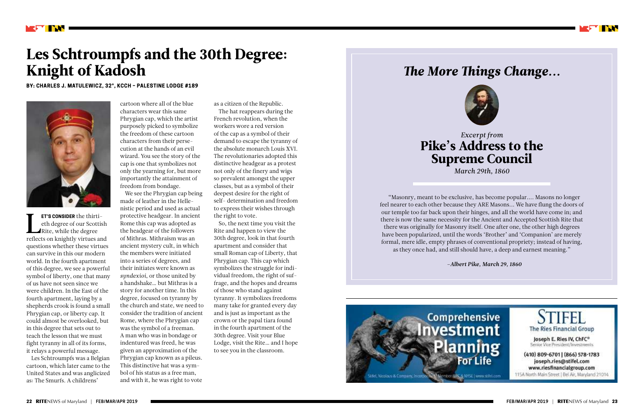

# Les Schtroumpfs and the 30th Degree: Knight of Kadosh

**BY: CHARLES J. MATULEWICZ, 32°, KCCH – PALESTINE LODGE #189**



**ET'S CONSIDER** the thirti-<br>eth degree of our Scottish<br>Rite, while the degree<br>reflects on knightly virtues and **ET'S CONSIDER** the thirtieth degree of our Scottish Rite, while the degree questions whether these virtues can survive in this our modern world. In the fourth apartment of this degree, we see a powerful symbol of liberty, one that many of us have not seen since we were children. In the East of the fourth apartment, laying by a shepherds crook is found a small Phrygian cap, or liberty cap. It could almost be overlooked, but in this degree that sets out to teach the lesson that we must fight tyranny in all of its forms, it relays a powerful message.

Les Schtroumpfs was a Belgian cartoon, which later came to the United States and was anglicized as: The Smurfs. A childrens'

cartoon where all of the blue characters wear this same Phrygian cap, which the artist purposely picked to symbolize the freedom of these cartoon characters from their persecution at the hands of an evil wizard. You see the story of the cap is one that symbolizes not only the yearning for, but more importantly the attainment of freedom from bondage.

We see the Phrygian cap being made of leather in the Hellenistic period and used as actual protective headgear. In ancient Rome this cap was adopted as the headgear of the followers of Mithras. Mithraism was an ancient mystery cult, in which the members were initiated into a series of degrees, and their initiates were known as *syndexioi*, or those united by a handshake… but Mithras is a story for another time. In this degree, focused on tyranny by the church and state, we need to consider the tradition of ancient Rome, where the Phrygian cap was the symbol of a freeman. A man who was in bondage or indentured was freed, he was given an approximation of the Phrygian cap known as a pileus. This distinctive hat was a symbol of his status as a free man, and with it, he was right to vote

as a citizen of the Republic.

The hat reappears during the French revolution, when the workers wore a red version of the cap as a symbol of their demand to escape the tyranny of the absolute monarch Louis XVI. The revolutionaries adopted this distinctive headgear as a protest not only of the finery and wigs so prevalent amongst the upper classes, but as a symbol of their deepest desire for the right of self- determination and freedom to express their wishes through the right to vote.

So, the next time you visit the Rite and happen to view the 30th degree, look in that fourth apartment and consider that small Roman cap of Liberty, that Phrygian cap. This cap which symbolizes the struggle for individual freedom, the right of suffrage, and the hopes and dreams of those who stand against tyranny. It symbolizes freedoms many take for granted every day and is just as important as the crown or the papal tiara found in the fourth apartment of the 30th degree. Visit your Blue Lodge, visit the Rite… and I hope to see you in the classroom.

*Excerpt from*  Pike's Address to the Supreme Council *March 29th, 1860*

# *The More Things Change...*



"Masonry, meant to be exclusive, has become popular.... Masons no longer feel nearer to each other because they ARE Masons... We have flung the doors of our temple too far back upon their hinges, and all the world have come in; and there is now the same necessity for the Ancient and Accepted Scottish Rite that there was originally for Masonry itself. One after one, the other high degrees have been popularized, until the words 'Brother' and 'Companion' are merely formal, mere idle, empty phrases of conventional propriety; instead of having, as they once had, and still should have, a deep and earnest meaning."



![](_page_11_Picture_18.jpeg)

*–Albert Pike, March 29, 1860*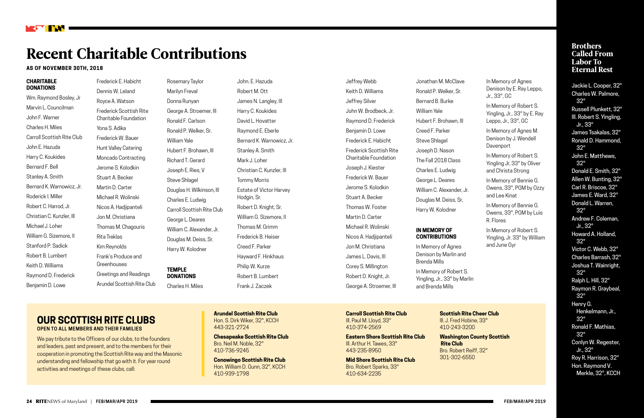#### **CHARITABLE DONATIONS**

Wm. Raymond Bosley, Jr Marvin L. Councilman John F. Warner Charles H. Miles Carroll Scottish Rite Club John E. Hazuda Harry C. Koukides Bernard F. Bell Stanley A. Smith Bernard K. Warnowicz, Jr. Roderick I. Miller Robert C. Harrod, Jr. Christian C. Kunzler, III Michael J. Loher William G. Sizemore, II Stanford P. Sadick Robert B. Lumbert Keith D. Williams Raymond D. Frederick Benjamin D. Lowe

Frederick E. Habicht Dennis W. Leland Royce A. Watson Frederick Scottish Rite Charitable Foundation Yona S. Adika Frederick W. Bauer Hunt Valley Catering Moncado Contracting Jerome S. Kolodkin Stuart A. Becker Martin D. Carter Michael R. Wolinski Nicos A. Hadjipanteli Jon M. Christiana Thomas M. Chagouris Rita Treklas Kim Reynolds Frank's Produce and Greenhouses Greetings and Readings Arundel Scottish Rite Club

Rosemary Taylor Marilyn Freval Donna Runyan George A. Stroemer, III Ronald F. Carlson Ronald P. Welker, Sr. William Yale Hubert F. Brohawn, III Richard T. Gerard Joseph E. Ries, V Steve Shlagel Douglas H. Wilkinson, III Charles E. Ludwig Carroll Scottish Rite Club George L. Deares William C. Alexander, Jr. Douglas M. Deiss, Sr. Harry W. Kolodner

**TEMPLE DONATIONS** Charles H. Miles

John. E. Hazuda Robert M. Ott James N. Langley, III Harry C. Koukides David L. Hovatter Raymond E. Eberle Bernard K. Warnowicz, Jr. Stanley A. Smith Mark J. Loher Christian C. Kunzler, III Tommy Morris Estate of Victor Harvey Hodgin, Sr. Robert D. Knight, Sr. William G. Sizemore, II Thomas M. Grimm Frederick B. Heiser Creed F. Parker Hayward F. Hinkhaus Philip W. Kurze Robert B. Lumbert Frank J. Zaczek

#### **Brothers** Called From Labor To Eternal Rest

Jeffrey Webb Keith D. Williams Jeffrey Silver John W. Brodbeck, Jr. Raymond D. Frederick Benjamin D. Lowe Frederick E. Habicht Frederick Scottish Rite Charitable Foundation Joseph J. Kiester Frederick W. Bauer Jerome S. Kolodkin Stuart A. Becker Thomas W. Foster Martin D. Carter Michael R. Wolinski Nicos A. Hadjipanteli Jon M. Christiana James L. Davis, III Corey S. Millington Robert D. Knight, Jr. George A. Stroemer, III

We pay tribute to the Officers of our clubs, to the founders and leaders, past and present, and to the members for their cooperation in promoting the Scottish Rite way and the Masonic understanding and fellowship that go with it. For year round activities and meetings of these clubs, call:

Jonathan M. McClave Ronald P. Welker, Sr. Bernard B. Burke William Yale Hubert F. Brohawn, III Creed F. Parker Steve Shlagel Joseph D. Nason The Fall 2018 Class Charles E. Ludwig George L. Deares William C. Alexander, Jr. Douglas M. Deiss, Sr. Harry W. Kolodner

#### **IN MEMORY OF CONTRIBUTIONS**

In Memory of Agnes Denison by Marlin and Brenda Mills In Memory of Robert S. Yingling, Jr., 33° by Marlin and Brenda Mills

In Memory of Agnes Denison by E. Ray Leppo, Jr., 33°, GC

In Memory of Robert S. Yingling, Jr., 33° by E. Ray Leppo, Jr., 33°, GC

In Memory of Agnes M. Denison by J. Wendell Davenport

In Memory of Robert S. Yingling Jr, 33° by Oliver and Christa Strong

In Memory of Bennie G. Owens, 33°, PGM by Ozzy and Lee Kinat

In Memory of Bennie G. Owens, 33°, PGM by Luis R. Flores

In Memory of Robert S. Yingling, Jr. 33° by William and June Gyr

![](_page_12_Picture_0.jpeg)

# Recent Charitable Contributions

#### **AS OF NOVEMBER 30TH, 2018**

Jackie L. Cooper, 32° Charles W. Palmore, 32° Russell Plunkett, 32° Ill. Robert S. Yingling, Jr., 33° James Tsakalas, 32° Ronald D. Hammond, 32° John E. Matthews, 32° Donald E. Smith, 32° Allen W. Bunting, 32° Carl R. Briscoe, 32° James E. Ward, 32° Donald L. Warren, 32° Andrew F. Coleman, Jr., 32° Howard A. Holland, 32° Victor C. Webb, 32° Charles Barrash, 32° Joshua T. Wainright, 32° Ralph L. Hill, 32° Raymon R. Graybeal, 32° Henry G. Henkelmann, Jr., 32° Ronald F. Mathias, 32° Conlyn W. Regester, Jr., 32° Roy R. Harrison, 32° Hon. Raymond V. Merkle, 32°, KCCH

#### **OUR SCOTTISH RITE CLUBS OPEN TO ALL MEMBERS AND THEIR FAMILIES**

**Arundel Scottish Rite Club**  Hon. S. Dirk Wiker, 32°, KCCH 443-321-2724

**Chesapeake Scottish Rite Club**  Bro. Neil M. Noble, 32° 410-736-9245

**Conowingo Scottish Rite Club**  Hon. William D. Gunn, 32°, KCCH 410-939-1798

**Carroll Scottish Rite Club**  III. Paul M. Lloyd, 33° 410-374-2569

**Eastern Shore Scottish Rite Club** Ill. Arthur H. Tawes, 33° 443-235-8950

**Mid Shore Scottish Rite Club**  Bro. Robert Sparks, 33° 410-634-2235

**Scottish Rite Cheer Club**  Ill. J. Fred Hobine, 33° 410-243-3200

**Washington County Scottish Rite Club**  Bro. Robert Reiff, 32° 301-302-6550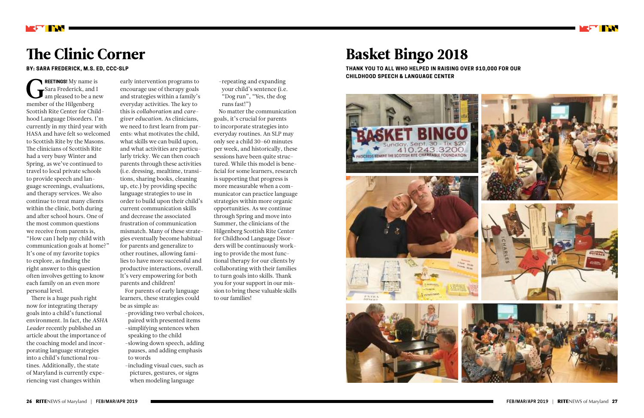REETINGS! My name i<br>Sara Frederick, and<br>am pleased to be a n<br>member of the Hilgenberg **REETINGS!** My name is Sara Frederick, and I am pleased to be a new Scottish Rite Center for Childhood Language Disorders. I'm currently in my third year with HASA and have felt so welcomed to Scottish Rite by the Masons. The clinicians of Scottish Rite had a very busy Winter and Spring, as we've continued to travel to local private schools to provide speech and language screenings, evaluations, and therapy services. We also continue to treat many clients within the clinic, both during and after school hours. One of the most common questions we receive from parents is, "How can I help my child with communication goals at home?" It's one of my favorite topics to explore, as finding the right answer to this question often involves getting to know each family on an even more personal level.

There is a huge push right now for integrating therapy goals into a child's functional environment. In fact, the *ASHA Leader* recently published an article about the importance of the coaching model and incorporating language strategies into a child's functional routines. Additionally, the state of Maryland is currently experiencing vast changes within

# The Clinic Corner

**BY: SARA FREDERICK, M.S. ED, CCC-SLP**

early intervention programs to encourage use of therapy goals and strategies within a family's everyday activities. The key to this is *collaboration* and *caregiver education.* As clinicians, we need to first learn from parents: what motivates the child, what skills we can build upon, and what activities are particularly tricky. We can then coach parents through these activities (i.e. dressing, mealtime, transitions, sharing books, cleaning up, etc.) by providing specific language strategies to use in order to build upon their child's current communication skills and decrease the associated frustration of communication mismatch. Many of these strategies eventually become habitual for parents and generalize to other routines, allowing families to have more successful and productive interactions, overall. It's very empowering for both parents and children! For parents of early language

learners, these strategies could be as simple as:

- providing two verbal choices, paired with presented items - simplifying sentences when speaking to the child - slowing down speech, adding pauses, and adding emphasis to words
- -including visual cues, such as pictures, gestures, or signs when modeling language

- repeating and expanding your child's sentence (i.e. "Dog run", "Yes, the dog runs fast!")

No matter the communication goals, it's crucial for parents to incorporate strategies into everyday routines. An SLP may only see a child 30-60 minutes per week, and historically, these sessions have been quite structured. While this model is beneficial for some learners, research is supporting that progress is more measurable when a communicator can practice language strategies within more organic opportunities. As we continue through Spring and move into Summer, the clinicians of the Hilgenberg Scottish Rite Center for Childhood Language Disorders will be continuously working to provide the most functional therapy for our clients by collaborating with their families to turn goals into skills. Thank you for your support in our mission to bring these valuable skills to our families!

# Basket Bingo 2018

**THANK YOU TO ALL WHO HELPED IN RAISING OVER \$10,000 FOR OUR CHILDHOOD SPEECH & LANGUAGE CENTER**

![](_page_13_Picture_12.jpeg)

![](_page_13_Picture_14.jpeg)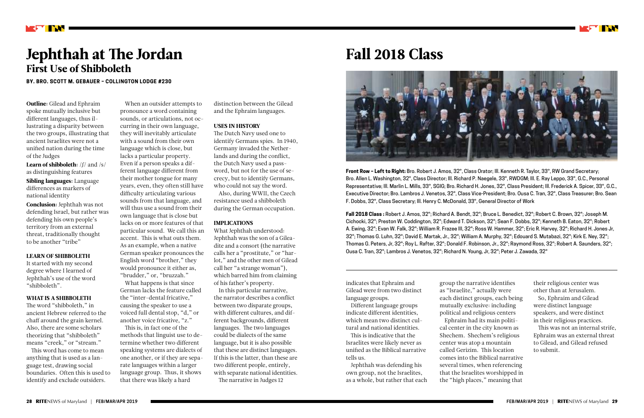![](_page_14_Picture_33.jpeg)

**Learn of shibboleth:**  $/f /$  and  $/s /$ as distinguishing features

Outline: Gilead and Ephraim spoke mutually inclusive but different languages, thus illustrating a disparity between the two groups, illustrating that ancient Israelites were not a unified nation during the time of the Judges

Sibling languages: Language differences as markers of national identity

Conclusion: Jephthah was not defending Israel, but rather was defending his own people's territory from an external threat, traditionally thought to be another "tribe"

#### LEARN OF SHIBBOLETH

It started with my second degree where I learned of Jephthah's use of the word "shibboleth".

#### WHAT IS A SHIBBOLETH

The word "shibboleth," in ancient Hebrew referred to the chaff around the grain kernel. Also, there are some scholars theorizing that "shibboleth" means "creek," or "stream."

This word has come to mean anything that is used as a language test, drawing social boundaries. Often this is used to identify and exclude outsiders.

![](_page_14_Picture_0.jpeg)

# Jephthah at The Jordan First Use of Shibboleth

**BY. BRO. SCOTT M. GEBAUER – COLLINGTON LODGE #230**

# Fall 2018 Class

![](_page_14_Picture_23.jpeg)

When an outsider attempts to pronounce a word containing sounds, or articulations, not occurring in their own language, they will inevitably articulate with a sound from their own language which is close, but lacks a particular property. Even if a person speaks a different language different from their mother tongue for many years, even, they often still have difficulty articulating various sounds from that language, and will thus use a sound from their own language that is close but lacks on or more features of that particular sound. We call this an accent. This is what outs them. As an example, when a native German speaker pronounces the English word "brother," they would pronounce it either as, "brudder," or, "bruzzah."

What happens is that since German lacks the feature called the "inter-dental fricative," causing the speaker to use a voiced full dental stop, "d," or another voice fricative, "z."

This is, in fact one of the methods that linguist use to determine whether two different speaking systems are dialects of one another, or if they are separate languages within a larger language group. Thus, it shows that there was likely a hard

distinction between the Gilead and the Ephraim languages.

#### USES IN HISTORY

The Dutch Navy used one to identify Germans spies. In 1940, Germany invaded the Netherlands and during the conflict, the Dutch Navy used a password, but not for the use of secrecy, but to identify Germans, who could not say the word.

Also, during WWII, the Czech resistance used a shibboleth during the German occupation.

#### IMPLICATIONS

What Jephthah understood: Jephthah was the son of a Gileadite and a consort (the narrative calls her a "prostitute," or "harlot," and the other men of Gilead call her "a strange woman"), which barred him from claiming of his father's property.

In this particular narrative, the narrator describes a conflict between two disparate groups, with different cultures, and different backgrounds, different languages. The two languages could be dialects of the same language, but it is also possible that these are distinct languages. If this is the latter, than these are two different people, entirely, with separate national identities. The narrative in Judges 12

indicates that Ephraim and Gilead were from two distinct language groups.

Different language groups indicate different identities, which mean two distinct cultural and national identities.

This is indicative that the Israelites were likely never as unified as the Biblical narrative tells us.

Jephthah was defending his own group, not the Israelites, as a whole, but rather that each group the narrative identifies Ephraim had its main politi-

as "Israelite," actually were each distinct groups, each being mutually exclusive: including political and religious centers cal center in the city known as Shechem. Shechem's religious center was atop a mountain called Gerizim. This location comes into the Biblical narrative several times, when referencing that the Israelites worshipped in the "high places," meaning that

their religious center was other than at Jerusalem.

So, Ephraim and Gilead were distinct language speakers, and were distinct in their religious practices.

This was not an internal strife, Ephraim was an external threat to Gilead, and Gilead refused to submit.

**Front Row – Left to Right:** Bro. Robert J. Amos, 32°, Class Orator; Ill. Kenneth R. Taylor, 33°, RW Grand Secretary; Bro. Allen L. Washington, 32°, Class Director; Ill. Richard P. Naegele, 33°, RWDGM; Ill. E. Ray Leppo, 33°, G.C., Personal Representative; Ill. Marlin L. Mills, 33°, SGIG; Bro. Richard H. Jones, 32°, Class President; Ill. Frederick A. Spicer, 33°, G.C., Executive Director; Bro. Lambros J. Venetos, 32°, Class Vice-President; Bro. Ousa C. Tran, 32°, Class Treasurer; Bro. Sean F. Dobbs, 32°, Class Secretary; Ill. Henry C. McDonald, 33°, General Director of Work

**Fall 2018 Class :** Robert J. Amos, 32°; Richard A. Bendt, 32°; Bruce L. Benedict, 32°; Robert C. Brown, 32°; Joseph M. Cichocki, 32°; Preston W. Coddington, 32°; Edward T. Dickson, 32°; Sean F. Dobbs, 32°; Kenneth B. Eaton, 32°; Robert A. Ewing, 32°; Evan W. Falk, 32°; William R. Frazee III, 32°; Ross W. Hammer, 32°; Eric R. Harvey, 32°; Richard H. Jones Jr, 32°; Thomas G. Luhn, 32°; David E. Martak, Jr., 32°; William A. Murphy, 32°; Edouard S. Mutabazi, 32°; Kirk E. Ney, 32°; Thomas G. Peters, Jr, 32°; Roy L. Rafter, 32°; Donald F. Robinson, Jr., 32°; Raymond Ross, 32°; Robert A. Saunders, 32°; Ousa C. Tran, 32°; Lambros J. Venetos, 32°; Richard N. Young, Jr, 32°; Peter J. Zawada, 32°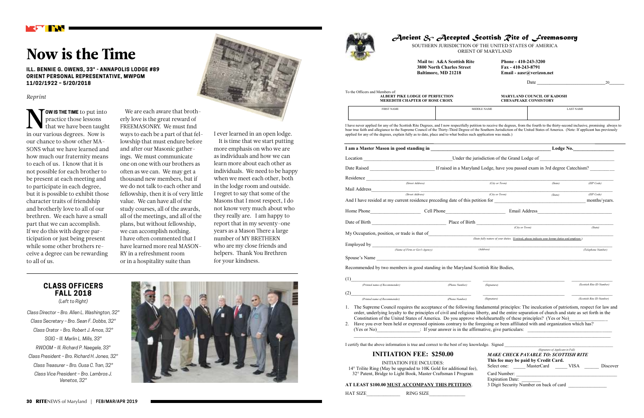![](_page_15_Picture_26.jpeg)

**Email - aasr@verizon.net** 

#### *Reprint*

**NOW IS THE TIME** to put into practice those lessons that we have been taught in our various degrees. Now is **OW IS THE TIME** to put into practice those lessons that we have been taught our chance to show other MA-SONS what we have learned and how much our fraternity means to each of us. I know that it is not possible for each brother to be present at each meeting and to participate in each degree, but it is possible to exhibit those character traits of friendship and brotherly love to all of our brethren. We each have a small part that we can accomplish. If we do this with degree participation or just being present while some other brothers receive a degree can be rewarding to all of us.

# Now is the Time

**ILL. BENNIE G. OWENS, 33° - ANNAPOLIS LODGE #89 ORIENT PERSONAL REPRESENTATIVE, MWPGM 11/02/1922 – 5/20/2018**

> We are each aware that brotherly love is the great reward of FREEMASONRY. We must find ways to each be a part of that fellowship that must endure before and after our Masonic gatherings. We must communicate one on one with our brothers as often as we can. We may get a thousand new members, but if we do not talk to each other and fellowship, then it is of very little value. We can have all of the study courses, all of the awards, all of the meetings, and all of the plans, but without fellowship, we can accomplish nothing. I have often commented that I have learned more real MASON-RY in a refreshment room or in a hospitality suite than

To the Officers and Members of: **ALBERT PIKE LODGE OF PERFECTION MARYLAND COUNCIL OF KADOSH**<br>MEREDITH CHAPTER OF ROSE CROIX CHESAPEAKE CONSISTORY **MEREDITH CHAPTER OF ROSE CROIX** 

I ever learned in an open lodge.

It is time that we start putting more emphasis on who we are as individuals and how we can learn more about each other as individuals. We need to be happy when we meet each other, both in the lodge room and outside. I regret to say that some of the Masons that I most respect, I do not know very much about who they really are. I am happy to report that in my seventy-one years as a Mason There a large number of MY BRETHERN who are my close friends and helpers. Thank You Brethren for your kindness.

![](_page_15_Picture_7.jpeg)

*Class Director – Bro. Allen L. Washington, 32° Class Secretary – Bro. Sean F. Dobbs, 32° Class Orator – Bro. Robert J. Amos, 32° SGIG – Ill. Marlin L. Mills, 33° RWDGM – Ill. Richard P. Naegele, 33° Class President – Bro. Richard H. Jones, 32° Class Treasurer – Bro. Ousa C. Tran, 32° Class Vice President – Bro. Lambros J. Venetos, 32°*

![](_page_15_Picture_9.jpeg)

![](_page_15_Picture_10.jpeg)

### *Ancient & Accepted Scottish Rite of Freemasonry*

SOUTHERN JURISDICTION OF THE UNITED STATES OF AMERICA ORIENT OF MARYLAND

**Mail to: A&A Scottish Rite Phone - 410-243-3200**<br>3800 North Charles Street Fax - 410-243-8791 **3800 North Charles Street<br>Baltimore, MD 21218** 

Date \_\_\_\_\_\_\_\_\_\_\_\_\_\_\_\_\_\_\_\_\_\_\_\_\_\_\_\_\_\_\_\_20\_\_\_\_\_\_\_

| <b>FIRST NAME</b>                                                                                                                                                                                                                                                                                                                                                                                                                                                                                                                                                                                                  |                | MIDDLE NAME                                                                     |                                                                                                   | <b>LAST NAME</b>          |
|--------------------------------------------------------------------------------------------------------------------------------------------------------------------------------------------------------------------------------------------------------------------------------------------------------------------------------------------------------------------------------------------------------------------------------------------------------------------------------------------------------------------------------------------------------------------------------------------------------------------|----------------|---------------------------------------------------------------------------------|---------------------------------------------------------------------------------------------------|---------------------------|
| I have never applied for any of the Scottish Rite Degrees, and I now respectfully petition to receive the degrees, from the fourth to the thirty-second inclusive, promising always to<br>bear true faith and allegiance to the Supreme Council of the Thirty-Third Degree of the Southern Jurisdiction of the United States of America. (Note: If applicant has previously<br>applied for any of the degrees, explain fully as to date, place and to what bodies such application was made.)                                                                                                                      |                |                                                                                 |                                                                                                   |                           |
| I am a Master Mason in good standing in the contract of the contract of the contract of Lodge No.                                                                                                                                                                                                                                                                                                                                                                                                                                                                                                                  |                |                                                                                 |                                                                                                   |                           |
|                                                                                                                                                                                                                                                                                                                                                                                                                                                                                                                                                                                                                    |                |                                                                                 |                                                                                                   |                           |
|                                                                                                                                                                                                                                                                                                                                                                                                                                                                                                                                                                                                                    |                |                                                                                 |                                                                                                   |                           |
| Residence (Street Address)                                                                                                                                                                                                                                                                                                                                                                                                                                                                                                                                                                                         |                |                                                                                 |                                                                                                   |                           |
|                                                                                                                                                                                                                                                                                                                                                                                                                                                                                                                                                                                                                    |                | (City or Town)                                                                  | (State)                                                                                           | (ZIP Code)                |
| (Street Address)                                                                                                                                                                                                                                                                                                                                                                                                                                                                                                                                                                                                   |                | (City or Town)                                                                  | (State)                                                                                           | (ZIP Code)                |
| And I have resided at my current residence preceding date of this petition for                                                                                                                                                                                                                                                                                                                                                                                                                                                                                                                                     |                |                                                                                 |                                                                                                   | months/years.             |
|                                                                                                                                                                                                                                                                                                                                                                                                                                                                                                                                                                                                                    |                |                                                                                 |                                                                                                   |                           |
| Date of Birth $\frac{\text{Place of Birth}}{\text{(City or Town)}}$                                                                                                                                                                                                                                                                                                                                                                                                                                                                                                                                                |                |                                                                                 |                                                                                                   |                           |
|                                                                                                                                                                                                                                                                                                                                                                                                                                                                                                                                                                                                                    |                |                                                                                 |                                                                                                   | (State)                   |
| My Occupation, position, or trade is that of                                                                                                                                                                                                                                                                                                                                                                                                                                                                                                                                                                       |                |                                                                                 | (State fully nature of your duties. If retired, please indicate your former duties and employer.) |                           |
| (Name of Firm or Gov't Agency)                                                                                                                                                                                                                                                                                                                                                                                                                                                                                                                                                                                     |                | (Address)                                                                       |                                                                                                   | (Telephone Number)        |
| Spouse's Name                                                                                                                                                                                                                                                                                                                                                                                                                                                                                                                                                                                                      |                |                                                                                 |                                                                                                   |                           |
|                                                                                                                                                                                                                                                                                                                                                                                                                                                                                                                                                                                                                    |                |                                                                                 |                                                                                                   |                           |
| Recommended by two members in good standing in the Maryland Scottish Rite Bodies,                                                                                                                                                                                                                                                                                                                                                                                                                                                                                                                                  |                |                                                                                 |                                                                                                   |                           |
| (1)                                                                                                                                                                                                                                                                                                                                                                                                                                                                                                                                                                                                                |                |                                                                                 |                                                                                                   |                           |
| (Printed name of Recommender)                                                                                                                                                                                                                                                                                                                                                                                                                                                                                                                                                                                      | (Phone Number) | (Signature)                                                                     |                                                                                                   | (Scottish Rite ID Number) |
| (2)<br>(Printed name of Recommender)                                                                                                                                                                                                                                                                                                                                                                                                                                                                                                                                                                               | (Phone Number) | (Signature)                                                                     |                                                                                                   | (Scottish Rite ID Number) |
| The Supreme Council requires the acceptance of the following fundamental principles: The inculcation of patriotism, respect for law and<br>order, underlying loyalty to the principles of civil and religious liberty, and the entire separation of church and state as set forth in the<br>Constitution of the United States of America. Do you approve wholeheartedly of these principles? (Yes or No)<br>Have you ever been held or expressed opinions contrary to the foregoing or been affiliated with and organization which has?<br>(Yes or No) [1] If your answer is in the affirmative, give particulars: |                |                                                                                 |                                                                                                   |                           |
| I certify that the above information is true and correct to the best of my knowledge. Signed                                                                                                                                                                                                                                                                                                                                                                                                                                                                                                                       |                |                                                                                 |                                                                                                   |                           |
| <b>INITIATION FEE: \$250.00</b>                                                                                                                                                                                                                                                                                                                                                                                                                                                                                                                                                                                    |                | (Signature of Applicant in Full)<br><b>MAKE CHECK PAYABLE TO: SCOTTISH RITE</b> |                                                                                                   |                           |
| <b>INITIATION FEE INCLUDES:</b><br>14° Trilite Ring (May be upgraded to 10K Gold for additional fee),                                                                                                                                                                                                                                                                                                                                                                                                                                                                                                              |                | This fee may be paid by Credit Card.                                            | Select one: _____ MasterCard ______ VISA ______ Discover                                          |                           |
| 32° Patent, Bridge to Light Book, Master Craftsman I Program                                                                                                                                                                                                                                                                                                                                                                                                                                                                                                                                                       |                |                                                                                 |                                                                                                   |                           |

- 
- 

#### **AT LEAST \$100.00 MUST ACCOMPANY THIS PETITION.** 3 Digit Security Number on back of card

HAT SIZE RING SIZE

| <b>FIRST NAME</b>                                                                                                                                                                                                                                                                                                                                                                                                                                                                                                                                                                                                                                                                                                                                                                                                                                                                                                                                                                                                                                                                                                                                                                                                                                                                                                                                                    |                | MIDDLE NAME    |                                                                                                                                                 | <b>LAST NAME</b>          |  |
|----------------------------------------------------------------------------------------------------------------------------------------------------------------------------------------------------------------------------------------------------------------------------------------------------------------------------------------------------------------------------------------------------------------------------------------------------------------------------------------------------------------------------------------------------------------------------------------------------------------------------------------------------------------------------------------------------------------------------------------------------------------------------------------------------------------------------------------------------------------------------------------------------------------------------------------------------------------------------------------------------------------------------------------------------------------------------------------------------------------------------------------------------------------------------------------------------------------------------------------------------------------------------------------------------------------------------------------------------------------------|----------------|----------------|-------------------------------------------------------------------------------------------------------------------------------------------------|---------------------------|--|
| e never applied for any of the Scottish Rite Degrees, and I now respectfully petition to receive the degrees, from the fourth to the thirty-second inclusive, promising always to<br>true faith and allegiance to the Supreme Council of the Thirty-Third Degree of the Southern Jurisdiction of the United States of America. (Note: If applicant has previously<br>ed for any of the degrees, explain fully as to date, place and to what bodies such application was made.)                                                                                                                                                                                                                                                                                                                                                                                                                                                                                                                                                                                                                                                                                                                                                                                                                                                                                       |                |                |                                                                                                                                                 |                           |  |
|                                                                                                                                                                                                                                                                                                                                                                                                                                                                                                                                                                                                                                                                                                                                                                                                                                                                                                                                                                                                                                                                                                                                                                                                                                                                                                                                                                      |                |                |                                                                                                                                                 |                           |  |
|                                                                                                                                                                                                                                                                                                                                                                                                                                                                                                                                                                                                                                                                                                                                                                                                                                                                                                                                                                                                                                                                                                                                                                                                                                                                                                                                                                      |                |                |                                                                                                                                                 |                           |  |
| Exaised <u>Figure 11</u> If raised in a Maryland Lodge, have you passed exam in 3rd degree Catechism?                                                                                                                                                                                                                                                                                                                                                                                                                                                                                                                                                                                                                                                                                                                                                                                                                                                                                                                                                                                                                                                                                                                                                                                                                                                                |                |                |                                                                                                                                                 |                           |  |
| dence <u>(Street Address)</u>                                                                                                                                                                                                                                                                                                                                                                                                                                                                                                                                                                                                                                                                                                                                                                                                                                                                                                                                                                                                                                                                                                                                                                                                                                                                                                                                        |                |                |                                                                                                                                                 |                           |  |
|                                                                                                                                                                                                                                                                                                                                                                                                                                                                                                                                                                                                                                                                                                                                                                                                                                                                                                                                                                                                                                                                                                                                                                                                                                                                                                                                                                      |                | (City or Town) | (State)                                                                                                                                         | (ZIP Code)                |  |
| (Street Address)                                                                                                                                                                                                                                                                                                                                                                                                                                                                                                                                                                                                                                                                                                                                                                                                                                                                                                                                                                                                                                                                                                                                                                                                                                                                                                                                                     |                | (City or Town) | (State)                                                                                                                                         | (ZIP Code)                |  |
| I have resided at my current residence preceding date of this petition for                                                                                                                                                                                                                                                                                                                                                                                                                                                                                                                                                                                                                                                                                                                                                                                                                                                                                                                                                                                                                                                                                                                                                                                                                                                                                           |                |                |                                                                                                                                                 | months/years.             |  |
| ne Phone Cell Phone                                                                                                                                                                                                                                                                                                                                                                                                                                                                                                                                                                                                                                                                                                                                                                                                                                                                                                                                                                                                                                                                                                                                                                                                                                                                                                                                                  |                |                | Email Address <b>Email</b>                                                                                                                      |                           |  |
| $Place of Birth$ Place of Birth $\frac{City \space or \space Town}{}$                                                                                                                                                                                                                                                                                                                                                                                                                                                                                                                                                                                                                                                                                                                                                                                                                                                                                                                                                                                                                                                                                                                                                                                                                                                                                                |                |                |                                                                                                                                                 |                           |  |
|                                                                                                                                                                                                                                                                                                                                                                                                                                                                                                                                                                                                                                                                                                                                                                                                                                                                                                                                                                                                                                                                                                                                                                                                                                                                                                                                                                      |                |                |                                                                                                                                                 | (State)                   |  |
| Occupation, position, or trade is that of                                                                                                                                                                                                                                                                                                                                                                                                                                                                                                                                                                                                                                                                                                                                                                                                                                                                                                                                                                                                                                                                                                                                                                                                                                                                                                                            |                |                | (State fully nature of your duties. If retired, please indicate your former duties and employer.)                                               |                           |  |
|                                                                                                                                                                                                                                                                                                                                                                                                                                                                                                                                                                                                                                                                                                                                                                                                                                                                                                                                                                                                                                                                                                                                                                                                                                                                                                                                                                      |                |                |                                                                                                                                                 |                           |  |
|                                                                                                                                                                                                                                                                                                                                                                                                                                                                                                                                                                                                                                                                                                                                                                                                                                                                                                                                                                                                                                                                                                                                                                                                                                                                                                                                                                      |                | (Address)      |                                                                                                                                                 | (Telephone Number)        |  |
| (Name of Firm or Gov't Agency)                                                                                                                                                                                                                                                                                                                                                                                                                                                                                                                                                                                                                                                                                                                                                                                                                                                                                                                                                                                                                                                                                                                                                                                                                                                                                                                                       |                |                |                                                                                                                                                 |                           |  |
|                                                                                                                                                                                                                                                                                                                                                                                                                                                                                                                                                                                                                                                                                                                                                                                                                                                                                                                                                                                                                                                                                                                                                                                                                                                                                                                                                                      |                |                |                                                                                                                                                 |                           |  |
|                                                                                                                                                                                                                                                                                                                                                                                                                                                                                                                                                                                                                                                                                                                                                                                                                                                                                                                                                                                                                                                                                                                                                                                                                                                                                                                                                                      |                |                |                                                                                                                                                 |                           |  |
|                                                                                                                                                                                                                                                                                                                                                                                                                                                                                                                                                                                                                                                                                                                                                                                                                                                                                                                                                                                                                                                                                                                                                                                                                                                                                                                                                                      |                |                |                                                                                                                                                 |                           |  |
| (Printed name of Recommender)                                                                                                                                                                                                                                                                                                                                                                                                                                                                                                                                                                                                                                                                                                                                                                                                                                                                                                                                                                                                                                                                                                                                                                                                                                                                                                                                        | (Phone Number) | (Signature)    |                                                                                                                                                 | (Scottish Rite ID Number) |  |
|                                                                                                                                                                                                                                                                                                                                                                                                                                                                                                                                                                                                                                                                                                                                                                                                                                                                                                                                                                                                                                                                                                                                                                                                                                                                                                                                                                      |                |                |                                                                                                                                                 |                           |  |
| (Printed name of Recommender)                                                                                                                                                                                                                                                                                                                                                                                                                                                                                                                                                                                                                                                                                                                                                                                                                                                                                                                                                                                                                                                                                                                                                                                                                                                                                                                                        | (Phone Number) | (Signature)    |                                                                                                                                                 | (Scottish Rite ID Number) |  |
|                                                                                                                                                                                                                                                                                                                                                                                                                                                                                                                                                                                                                                                                                                                                                                                                                                                                                                                                                                                                                                                                                                                                                                                                                                                                                                                                                                      |                |                |                                                                                                                                                 |                           |  |
|                                                                                                                                                                                                                                                                                                                                                                                                                                                                                                                                                                                                                                                                                                                                                                                                                                                                                                                                                                                                                                                                                                                                                                                                                                                                                                                                                                      |                |                |                                                                                                                                                 |                           |  |
|                                                                                                                                                                                                                                                                                                                                                                                                                                                                                                                                                                                                                                                                                                                                                                                                                                                                                                                                                                                                                                                                                                                                                                                                                                                                                                                                                                      |                |                |                                                                                                                                                 |                           |  |
|                                                                                                                                                                                                                                                                                                                                                                                                                                                                                                                                                                                                                                                                                                                                                                                                                                                                                                                                                                                                                                                                                                                                                                                                                                                                                                                                                                      |                |                | (Signature of Applicant in Full)                                                                                                                |                           |  |
| use's Name $\frac{1}{\sqrt{1-\frac{1}{2}}\sqrt{1-\frac{1}{2}}\sqrt{1-\frac{1}{2}}\sqrt{1-\frac{1}{2}}\sqrt{1-\frac{1}{2}}\sqrt{1-\frac{1}{2}}\sqrt{1-\frac{1}{2}}\sqrt{1-\frac{1}{2}}\sqrt{1-\frac{1}{2}}\sqrt{1-\frac{1}{2}}\sqrt{1-\frac{1}{2}}\sqrt{1-\frac{1}{2}}\sqrt{1-\frac{1}{2}}\sqrt{1-\frac{1}{2}}\sqrt{1-\frac{1}{2}}\sqrt{1-\frac{1}{2}}\sqrt{1-\frac{1}{2}}\sqrt{1-\frac{1}{2}}\sqrt{1-\frac$<br>ommended by two members in good standing in the Maryland Scottish Rite Bodies,<br>The Supreme Council requires the acceptance of the following fundamental principles: The inculcation of patriotism, respect for law and<br>order, underlying loyalty to the principles of civil and religious liberty, and the entire separation of church and state as set forth in the<br>Constitution of the United States of America. Do you approve wholeheartedly of these principles? (Yes or No)<br>Have you ever been held or expressed opinions contrary to the foregoing or been affiliated with and organization which has?<br>(Yes or No) [16] If your answer is in the affirmative, give particulars:<br>tify that the above information is true and correct to the best of my knowledge. Signed<br><b>INITIATION FEE: \$250.00</b><br><b>INITIATION FEE INCLUDES:</b><br><sup>o</sup> Trilite Ring (May be upgraded to 10K Gold for additional fee), |                |                | <b>MAKE CHECK PAYABLE TO: SCOTTISH RITE</b><br>This fee may be paid by Credit Card.<br>Select one: _____ MasterCard ______ VISA ______ Discover |                           |  |